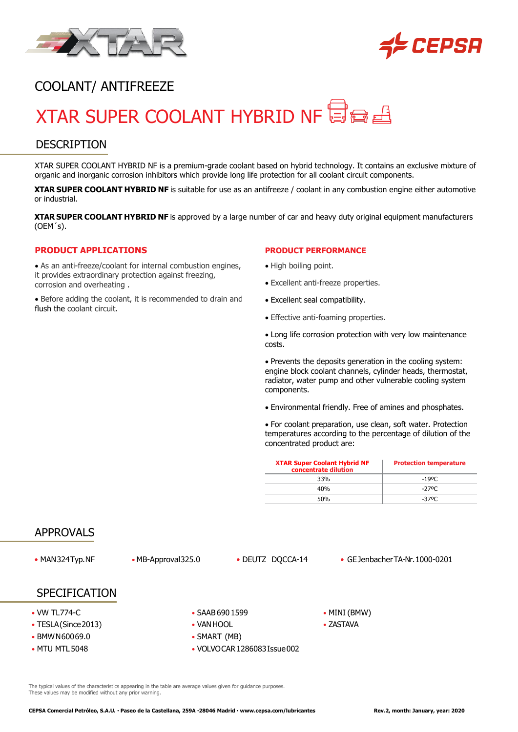



# COOLANT/ ANTIFREEZE

# XTAR SUPER COOLANT HYBRID NF 目白日

### **DESCRIPTION**

XTAR SUPER COOLANT HYBRID NF is a premium-grade coolant based on hybrid technology. It contains an exclusive mixture of organic and inorganic corrosion inhibitors which provide long life protection for all coolant circuit components.

**XTAR SUPER COOLANT HYBRID NF** is suitable for use as an antifreeze / coolant in any combustion engine either automotive or industrial.

**XTAR SUPER COOLANT HYBRID NF** is approved by a large number of car and heavy duty original equipment manufacturers (OEM´s).

#### **PRODUCT APPLICATIONS**

• As an anti-freeze/coolant for internal combustion engines, it provides extraordinary protection against freezing, corrosion and overheating .

• Before adding the coolant, it is recommended to drain and flush the coolant circuit.

#### **PRODUCT PERFORMANCE**

- High boiling point.
- Excellent anti-freeze properties.
- Excellent seal compatibility.
- Effective anti-foaming properties.

• Long life corrosion protection with very low maintenance costs.

• Prevents the deposits generation in the cooling system: engine block coolant channels, cylinder heads, thermostat, radiator, water pump and other vulnerable cooling system components.

• Environmental friendly. Free of amines and phosphates.

• For coolant preparation, use clean, soft water. Protection temperatures according to the percentage of dilution of the concentrated product are:

| <b>XTAR Super Coolant Hybrid NF</b><br>concentrate dilution | <b>Protection temperature</b> |
|-------------------------------------------------------------|-------------------------------|
| 33%                                                         | -19ºC                         |
| 40 <sub>%</sub>                                             | -270C                         |
| 50%                                                         | -370C                         |

#### APPROVALS

• MAN324Typ.NF • MB-Approval325.0 • DEUTZ DQCCA-14 • GEJenbacherTA-Nr.1000-0201

#### SPECIFICATION

- 
- TESLA(Since 2013) VAN HOOL ZASTAVA
- BMWN60069.0 SMART (MB)
- 
- VW TL774-C • SAAB 690 1599 • MINI (BMW)
	-
	-
- MTU MTL 5048 VOLVOCAR 1286083 Issue 002

The typical values of the characteristics appearing in the table are average values given for guidance purposes. These values may be modified without any prior warning.